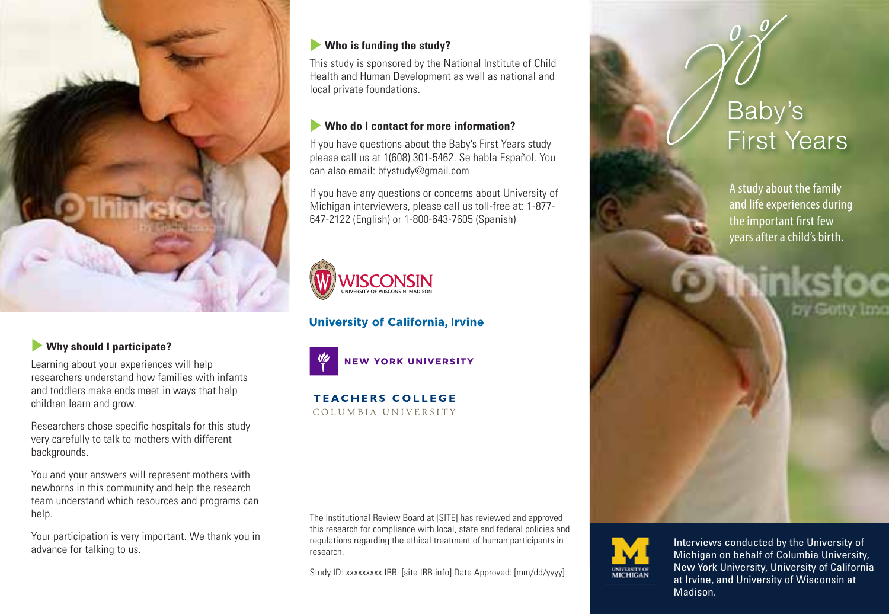

## u **Why should I participate?**

Learning about your experiences will help researchers understand how families with infants and toddlers make ends meet in ways that help children learn and grow.

Researchers chose specific hospitals for this study very carefully to talk to mothers with different backgrounds.

You and your answers will represent mothers with newborns in this community and help the research team understand which resources and programs can help.

Your participation is very important. We thank you in advance for talking to us.

#### **Who is funding the study?**

This study is sponsored by the National Institute of Child Health and Human Development as well as national and local private foundations.

#### u **Who do I contact for more information?**

If you have questions about the Baby's First Years study please call us at 1(608) 301-5462. Se habla Español. You can also email: bfystudy@gmail.com

If you have any questions or concerns about University of Michigan interviewers, please call us toll-free at: 1-877- 647-2122 (English) or 1-800-643-7605 (Spanish)



**University of California, Irvine** 



**NEW YORK UNIVERSITY** 

**TEACHERS COLLEGE** COLUMBIA UNIVERSITY

The Institutional Review Board at [SITE] has reviewed and approved this research for compliance with local, state and federal policies and regulations regarding the ethical treatment of human participants in research.

Study ID: xxxxxxxx IRB: [site IRB info] Date Approved: [mm/dd/yyyy]

# Baby's **First Years**

A study about the family and life experiences during the important first few years after a child's birth.



Internation and the University of California main convention, on behalf of Wisconsin at Irvine, and University of Wisconsin at and Columbia University<br>
Madison. Interviews conducted by the University of Michigan on behalf of Columbia University,